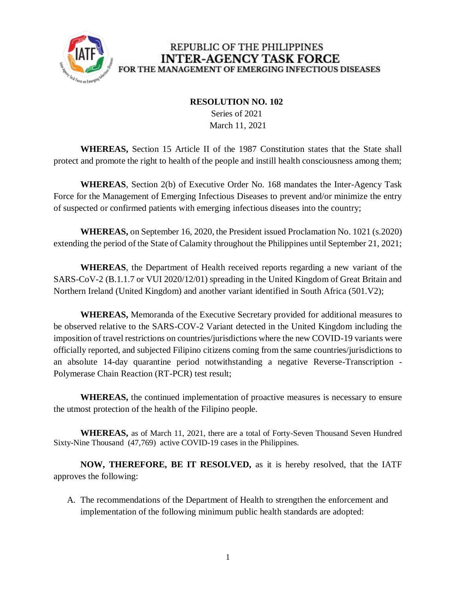

### REPUBLIC OF THE PHILIPPINES **INTER-AGENCY TASK FORCE** FOR THE MANAGEMENT OF EMERGING INFECTIOUS DISEASES

#### **RESOLUTION NO. 102**

 Series of 2021 March 11, 2021

**WHEREAS,** Section 15 Article II of the 1987 Constitution states that the State shall protect and promote the right to health of the people and instill health consciousness among them;

**WHEREAS**, Section 2(b) of Executive Order No. 168 mandates the Inter-Agency Task Force for the Management of Emerging Infectious Diseases to prevent and/or minimize the entry of suspected or confirmed patients with emerging infectious diseases into the country;

**WHEREAS,** on September 16, 2020, the President issued Proclamation No. 1021 (s.2020) extending the period of the State of Calamity throughout the Philippines until September 21, 2021;

**WHEREAS**, the Department of Health received reports regarding a new variant of the SARS-CoV-2 (B.1.1.7 or VUI 2020/12/01) spreading in the United Kingdom of Great Britain and Northern Ireland (United Kingdom) and another variant identified in South Africa (501.V2);

**WHEREAS,** Memoranda of the Executive Secretary provided for additional measures to be observed relative to the SARS-COV-2 Variant detected in the United Kingdom including the imposition of travel restrictions on countries/jurisdictions where the new COVID-19 variants were officially reported, and subjected Filipino citizens coming from the same countries/jurisdictions to an absolute 14-day quarantine period notwithstanding a negative Reverse-Transcription - Polymerase Chain Reaction (RT-PCR) test result;

**WHEREAS,** the continued implementation of proactive measures is necessary to ensure the utmost protection of the health of the Filipino people.

**WHEREAS,** as of March 11, 2021, there are a total of Forty-Seven Thousand Seven Hundred Sixty-Nine Thousand (47,769) active COVID-19 cases in the Philippines.

**NOW, THEREFORE, BE IT RESOLVED,** as it is hereby resolved, that the IATF approves the following:

A. The recommendations of the Department of Health to strengthen the enforcement and implementation of the following minimum public health standards are adopted: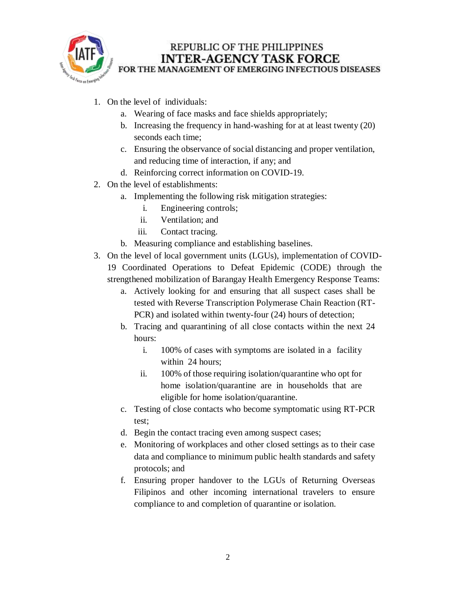

### REPUBLIC OF THE PHILIPPINES **INTER-AGENCY TASK FORCE** FOR THE MANAGEMENT OF EMERGING INFECTIOUS DISEASES

- 1. On the level of individuals:
	- a. Wearing of face masks and face shields appropriately;
	- b. Increasing the frequency in hand-washing for at at least twenty (20) seconds each time;
	- c. Ensuring the observance of social distancing and proper ventilation, and reducing time of interaction, if any; and
	- d. Reinforcing correct information on COVID-19.
- 2. On the level of establishments:
	- a. Implementing the following risk mitigation strategies:
		- i. Engineering controls;
		- ii. Ventilation; and
		- iii. Contact tracing.
	- b. Measuring compliance and establishing baselines.
- 3. On the level of local government units (LGUs), implementation of COVID-19 Coordinated Operations to Defeat Epidemic (CODE) through the strengthened mobilization of Barangay Health Emergency Response Teams:
	- a. Actively looking for and ensuring that all suspect cases shall be tested with Reverse Transcription Polymerase Chain Reaction (RT-PCR) and isolated within twenty-four (24) hours of detection;
	- b. Tracing and quarantining of all close contacts within the next 24 hours:
		- i. 100% of cases with symptoms are isolated in a facility within 24 hours;
		- ii. 100% of those requiring isolation/quarantine who opt for home isolation/quarantine are in households that are eligible for home isolation/quarantine.
	- c. Testing of close contacts who become symptomatic using RT-PCR test;
	- d. Begin the contact tracing even among suspect cases;
	- e. Monitoring of workplaces and other closed settings as to their case data and compliance to minimum public health standards and safety protocols; and
	- f. Ensuring proper handover to the LGUs of Returning Overseas Filipinos and other incoming international travelers to ensure compliance to and completion of quarantine or isolation.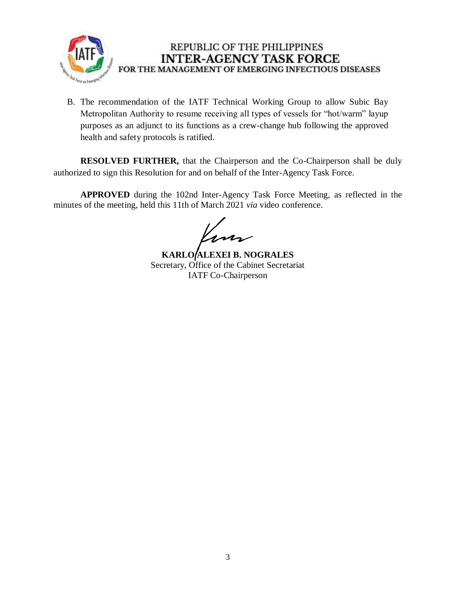

# REPUBLIC OF THE PHILIPPINES **INTER-AGENCY TASK FORCE** FOR THE MANAGEMENT OF EMERGING INFECTIOUS DISEASES

B. The recommendation of the IATF Technical Working Group to allow Subic Bay Metropolitan Authority to resume receiving all types of vessels for "hot/warm" layup purposes as an adjunct to its functions as a crew-change hub following the approved health and safety protocols is ratified.

**RESOLVED FURTHER,** that the Chairperson and the Co-Chairperson shall be duly authorized to sign this Resolution for and on behalf of the Inter-Agency Task Force.

**APPROVED** during the 102nd Inter-Agency Task Force Meeting, as reflected in the minutes of the meeting, held this 11th of March 2021 *via* video conference.

'nn

**KARLO ALEXEI B. NOGRALES** Secretary, Office of the Cabinet Secretariat IATF Co-Chairperson